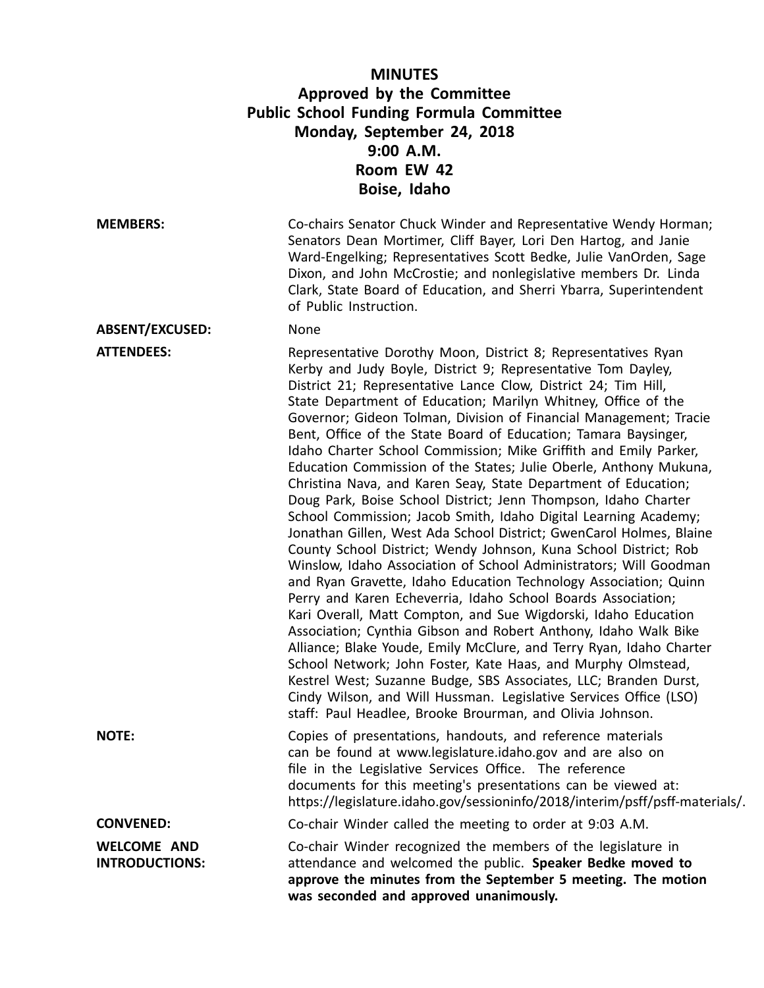| <b>MINUTES</b><br>Approved by the Committee<br><b>Public School Funding Formula Committee</b><br>Monday, September 24, 2018<br>9:00 A.M.<br>Room EW 42<br>Boise, Idaho |                                                                                                                                                                                                                                                                                                                                                                                                                                                                                                                                                                                                                                                                                                                                                                                                                                                                                                                                                                                                                                                                                                                                                                                                                                                                                                                                                                                                                                                                                                                                                                                                |  |
|------------------------------------------------------------------------------------------------------------------------------------------------------------------------|------------------------------------------------------------------------------------------------------------------------------------------------------------------------------------------------------------------------------------------------------------------------------------------------------------------------------------------------------------------------------------------------------------------------------------------------------------------------------------------------------------------------------------------------------------------------------------------------------------------------------------------------------------------------------------------------------------------------------------------------------------------------------------------------------------------------------------------------------------------------------------------------------------------------------------------------------------------------------------------------------------------------------------------------------------------------------------------------------------------------------------------------------------------------------------------------------------------------------------------------------------------------------------------------------------------------------------------------------------------------------------------------------------------------------------------------------------------------------------------------------------------------------------------------------------------------------------------------|--|
| <b>MEMBERS:</b>                                                                                                                                                        | Co-chairs Senator Chuck Winder and Representative Wendy Horman;<br>Senators Dean Mortimer, Cliff Bayer, Lori Den Hartog, and Janie<br>Ward-Engelking; Representatives Scott Bedke, Julie VanOrden, Sage<br>Dixon, and John McCrostie; and nonlegislative members Dr. Linda<br>Clark, State Board of Education, and Sherri Ybarra, Superintendent<br>of Public Instruction.                                                                                                                                                                                                                                                                                                                                                                                                                                                                                                                                                                                                                                                                                                                                                                                                                                                                                                                                                                                                                                                                                                                                                                                                                     |  |
| <b>ABSENT/EXCUSED:</b>                                                                                                                                                 | None                                                                                                                                                                                                                                                                                                                                                                                                                                                                                                                                                                                                                                                                                                                                                                                                                                                                                                                                                                                                                                                                                                                                                                                                                                                                                                                                                                                                                                                                                                                                                                                           |  |
| <b>ATTENDEES:</b>                                                                                                                                                      | Representative Dorothy Moon, District 8; Representatives Ryan<br>Kerby and Judy Boyle, District 9; Representative Tom Dayley,<br>District 21; Representative Lance Clow, District 24; Tim Hill,<br>State Department of Education; Marilyn Whitney, Office of the<br>Governor; Gideon Tolman, Division of Financial Management; Tracie<br>Bent, Office of the State Board of Education; Tamara Baysinger,<br>Idaho Charter School Commission; Mike Griffith and Emily Parker,<br>Education Commission of the States; Julie Oberle, Anthony Mukuna,<br>Christina Nava, and Karen Seay, State Department of Education;<br>Doug Park, Boise School District; Jenn Thompson, Idaho Charter<br>School Commission; Jacob Smith, Idaho Digital Learning Academy;<br>Jonathan Gillen, West Ada School District; GwenCarol Holmes, Blaine<br>County School District; Wendy Johnson, Kuna School District; Rob<br>Winslow, Idaho Association of School Administrators; Will Goodman<br>and Ryan Gravette, Idaho Education Technology Association; Quinn<br>Perry and Karen Echeverria, Idaho School Boards Association;<br>Kari Overall, Matt Compton, and Sue Wigdorski, Idaho Education<br>Association; Cynthia Gibson and Robert Anthony, Idaho Walk Bike<br>Alliance; Blake Youde, Emily McClure, and Terry Ryan, Idaho Charter<br>School Network; John Foster, Kate Haas, and Murphy Olmstead,<br>Kestrel West; Suzanne Budge, SBS Associates, LLC; Branden Durst,<br>Cindy Wilson, and Will Hussman. Legislative Services Office (LSO)<br>staff: Paul Headlee, Brooke Brourman, and Olivia Johnson. |  |
| <b>NOTE:</b>                                                                                                                                                           | Copies of presentations, handouts, and reference materials<br>can be found at www.legislature.idaho.gov and are also on<br>file in the Legislative Services Office. The reference<br>documents for this meeting's presentations can be viewed at:<br>https://legislature.idaho.gov/sessioninfo/2018/interim/psff/psff-materials/.                                                                                                                                                                                                                                                                                                                                                                                                                                                                                                                                                                                                                                                                                                                                                                                                                                                                                                                                                                                                                                                                                                                                                                                                                                                              |  |
| <b>CONVENED:</b>                                                                                                                                                       | Co-chair Winder called the meeting to order at 9:03 A.M.                                                                                                                                                                                                                                                                                                                                                                                                                                                                                                                                                                                                                                                                                                                                                                                                                                                                                                                                                                                                                                                                                                                                                                                                                                                                                                                                                                                                                                                                                                                                       |  |
| <b>WELCOME AND</b><br><b>INTRODUCTIONS:</b>                                                                                                                            | Co-chair Winder recognized the members of the legislature in<br>attendance and welcomed the public. Speaker Bedke moved to<br>approve the minutes from the September 5 meeting. The motion<br>was seconded and approved unanimously.                                                                                                                                                                                                                                                                                                                                                                                                                                                                                                                                                                                                                                                                                                                                                                                                                                                                                                                                                                                                                                                                                                                                                                                                                                                                                                                                                           |  |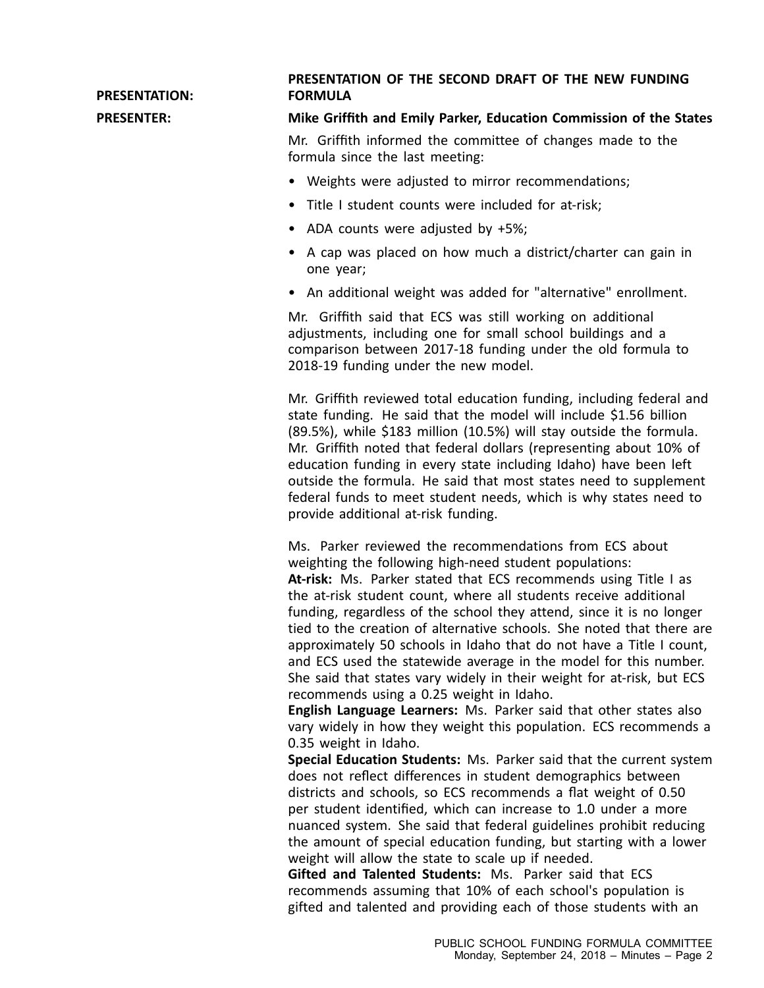**PRESENTATION:**

## **PRESENTATION OF THE SECOND DRAFT OF THE NEW FUNDING FORMULA**

## **PRESENTER: Mike Griffith and Emily Parker, Education Commission of the States**

Mr. Griffith informed the committee of changes made to the formula since the last meeting:

- Weights were adjusted to mirror recommendations;
- Title I student counts were included for at-risk;
- ADA counts were adjusted by +5%;
- A cap was placed on how much <sup>a</sup> district/charter can gain in one year;
- An additional weight was added for "alternative" enrollment.

Mr. Griffith said that ECS was still working on additional adjustments, including one for small school buildings and <sup>a</sup> comparison between 2017-18 funding under the old formula to 2018-19 funding under the new model.

Mr. Griffith reviewed total education funding, including federal and state funding. He said that the model will include \$1.56 billion (89.5%), while \$183 million (10.5%) will stay outside the formula. Mr. Griffith noted that federal dollars (representing about 10% of education funding in every state including Idaho) have been left outside the formula. He said that most states need to supplement federal funds to meet student needs, which is why states need to provide additional at-risk funding.

Ms. Parker reviewed the recommendations from ECS about weighting the following high-need student populations: **At-risk:** Ms. Parker stated that ECS recommends using Title I as the at-risk student count, where all students receive additional funding, regardless of the school they attend, since it is no longer tied to the creation of alternative schools. She noted that there are approximately 50 schools in Idaho that do not have <sup>a</sup> Title I count, and ECS used the statewide average in the model for this number. She said that states vary widely in their weight for at-risk, but ECS recommends using <sup>a</sup> 0.25 weight in Idaho.

**English Language Learners:** Ms. Parker said that other states also vary widely in how they weight this population. ECS recommends <sup>a</sup> 0.35 weight in Idaho.

**Special Education Students:** Ms. Parker said that the current system does not reflect differences in student demographics between districts and schools, so ECS recommends <sup>a</sup> flat weight of 0.50 per student identified, which can increase to 1.0 under <sup>a</sup> more nuanced system. She said that federal guidelines prohibit reducing the amount of special education funding, but starting with <sup>a</sup> lower weight will allow the state to scale up if needed.

**Gifted and Talented Students:** Ms. Parker said that ECS recommends assuming that 10% of each school's population is gifted and talented and providing each of those students with an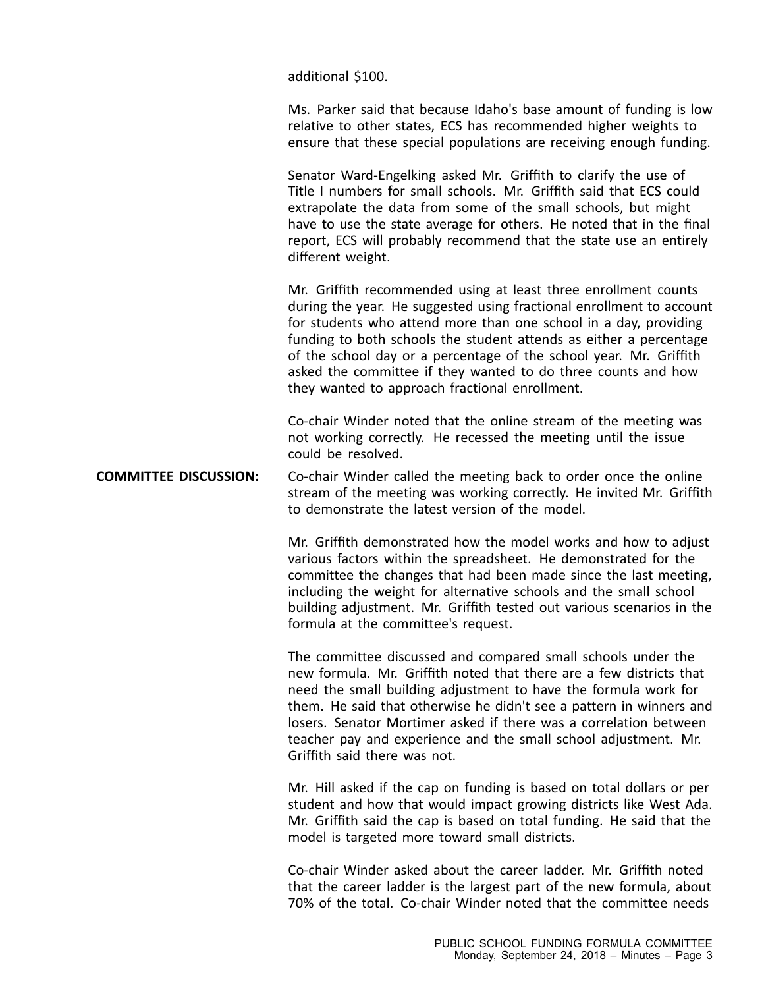additional \$100.

Ms. Parker said that because Idaho's base amount of funding is low relative to other states, ECS has recommended higher weights to ensure that these special populations are receiving enough funding.

Senator Ward-Engelking asked Mr. Griffith to clarify the use of Title I numbers for small schools. Mr. Griffith said that ECS could extrapolate the data from some of the small schools, but might have to use the state average for others. He noted that in the final report, ECS will probably recommend that the state use an entirely different weight.

Mr. Griffith recommended using at least three enrollment counts during the year. He suggested using fractional enrollment to account for students who attend more than one school in <sup>a</sup> day, providing funding to both schools the student attends as either <sup>a</sup> percentage of the school day or <sup>a</sup> percentage of the school year. Mr. Griffith asked the committee if they wanted to do three counts and how they wanted to approach fractional enrollment.

Co-chair Winder noted that the online stream of the meeting was not working correctly. He recessed the meeting until the issue could be resolved.

**COMMITTEE DISCUSSION:** Co-chair Winder called the meeting back to order once the online stream of the meeting was working correctly. He invited Mr. Griffith to demonstrate the latest version of the model.

> Mr. Griffith demonstrated how the model works and how to adjust various factors within the spreadsheet. He demonstrated for the committee the changes that had been made since the last meeting, including the weight for alternative schools and the small school building adjustment. Mr. Griffith tested out various scenarios in the formula at the committee's request.

> The committee discussed and compared small schools under the new formula. Mr. Griffith noted that there are <sup>a</sup> few districts that need the small building adjustment to have the formula work for them. He said that otherwise he didn't see <sup>a</sup> pattern in winners and losers. Senator Mortimer asked if there was <sup>a</sup> correlation between teacher pay and experience and the small school adjustment. Mr. Griffith said there was not.

> Mr. Hill asked if the cap on funding is based on total dollars or per student and how that would impact growing districts like West Ada. Mr. Griffith said the cap is based on total funding. He said that the model is targeted more toward small districts.

> Co-chair Winder asked about the career ladder. Mr. Griffith noted that the career ladder is the largest part of the new formula, about 70% of the total. Co-chair Winder noted that the committee needs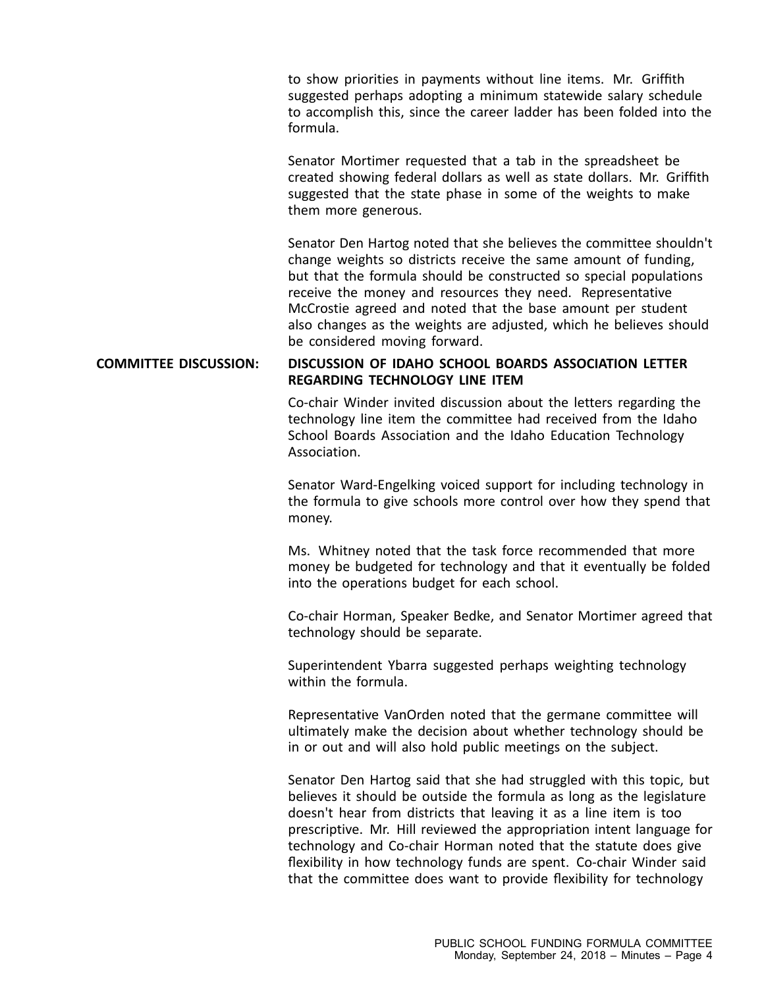to show priorities in payments without line items. Mr. Griffith suggested perhaps adopting <sup>a</sup> minimum statewide salary schedule to accomplish this, since the career ladder has been folded into the formula.

Senator Mortimer requested that <sup>a</sup> tab in the spreadsheet be created showing federal dollars as well as state dollars. Mr. Griffith suggested that the state phase in some of the weights to make them more generous.

Senator Den Hartog noted that she believes the committee shouldn't change weights so districts receive the same amount of funding, but that the formula should be constructed so special populations receive the money and resources they need. Representative McCrostie agreed and noted that the base amount per student also changes as the weights are adjusted, which he believes should be considered moving forward.

## **COMMITTEE DISCUSSION: DISCUSSION OF IDAHO SCHOOL BOARDS ASSOCIATION LETTER REGARDING TECHNOLOGY LINE ITEM**

Co-chair Winder invited discussion about the letters regarding the technology line item the committee had received from the Idaho School Boards Association and the Idaho Education Technology Association.

Senator Ward-Engelking voiced support for including technology in the formula to give schools more control over how they spend that money.

Ms. Whitney noted that the task force recommended that more money be budgeted for technology and that it eventually be folded into the operations budget for each school.

Co-chair Horman, Speaker Bedke, and Senator Mortimer agreed that technology should be separate.

Superintendent Ybarra suggested perhaps weighting technology within the formula.

Representative VanOrden noted that the germane committee will ultimately make the decision about whether technology should be in or out and will also hold public meetings on the subject.

Senator Den Hartog said that she had struggled with this topic, but believes it should be outside the formula as long as the legislature doesn't hear from districts that leaving it as <sup>a</sup> line item is too prescriptive. Mr. Hill reviewed the appropriation intent language for technology and Co-chair Horman noted that the statute does give flexibility in how technology funds are spent. Co-chair Winder said that the committee does want to provide flexibility for technology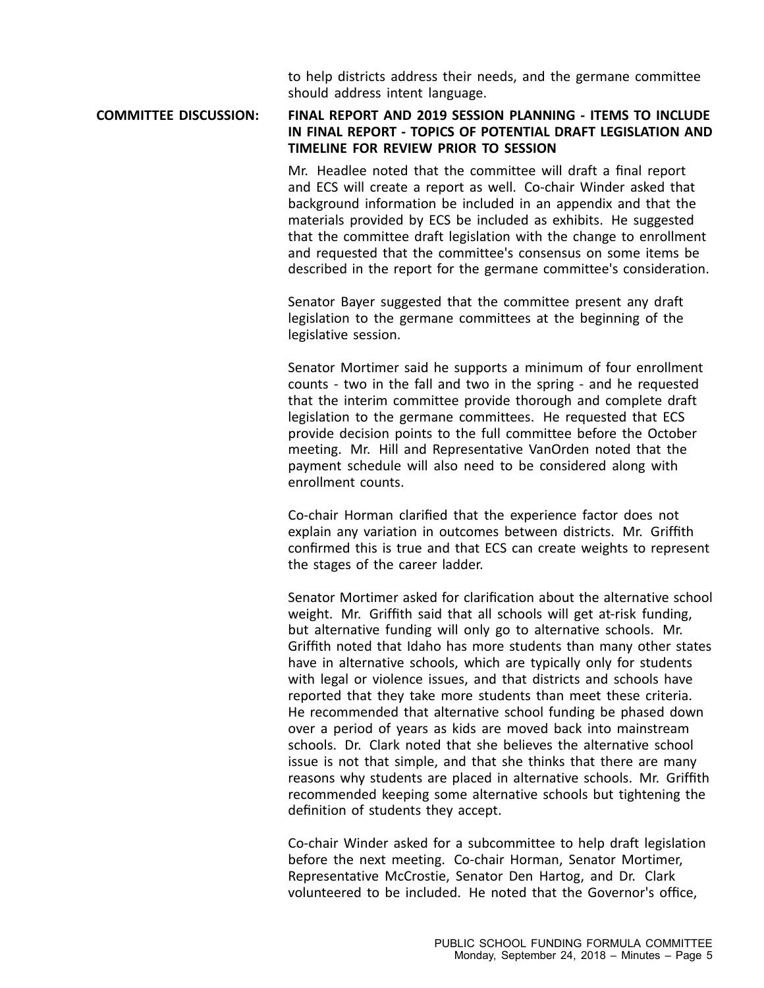to help districts address their needs, and the germane committee should address intent language.

## **COMMITTEE DISCUSSION: FINAL REPORT AND 2019 SESSION PLANNING - ITEMS TO INCLUDE IN FINAL REPORT - TOPICS OF POTENTIAL DRAFT LEGISLATION AND TIMELINE FOR REVIEW PRIOR TO SESSION**

Mr. Headlee noted that the committee will draft <sup>a</sup> final report and ECS will create <sup>a</sup> report as well. Co-chair Winder asked that background information be included in an appendix and that the materials provided by ECS be included as exhibits. He suggested that the committee draft legislation with the change to enrollment and requested that the committee's consensus on some items be described in the report for the germane committee's consideration.

Senator Bayer suggested that the committee present any draft legislation to the germane committees at the beginning of the legislative session.

Senator Mortimer said he supports <sup>a</sup> minimum of four enrollment counts - two in the fall and two in the spring - and he requested that the interim committee provide thorough and complete draft legislation to the germane committees. He requested that ECS provide decision points to the full committee before the October meeting. Mr. Hill and Representative VanOrden noted that the payment schedule will also need to be considered along with enrollment counts.

Co-chair Horman clarified that the experience factor does not explain any variation in outcomes between districts. Mr. Griffith confirmed this is true and that ECS can create weights to represent the stages of the career ladder.

Senator Mortimer asked for clarification about the alternative school weight. Mr. Griffith said that all schools will get at-risk funding, but alternative funding will only go to alternative schools. Mr. Griffith noted that Idaho has more students than many other states have in alternative schools, which are typically only for students with legal or violence issues, and that districts and schools have reported that they take more students than meet these criteria. He recommended that alternative school funding be phased down over <sup>a</sup> period of years as kids are moved back into mainstream schools. Dr. Clark noted that she believes the alternative school issue is not that simple, and that she thinks that there are many reasons why students are placed in alternative schools. Mr. Griffith recommended keeping some alternative schools but tightening the definition of students they accept.

Co-chair Winder asked for <sup>a</sup> subcommittee to help draft legislation before the next meeting. Co-chair Horman, Senator Mortimer, Representative McCrostie, Senator Den Hartog, and Dr. Clark volunteered to be included. He noted that the Governor's office,